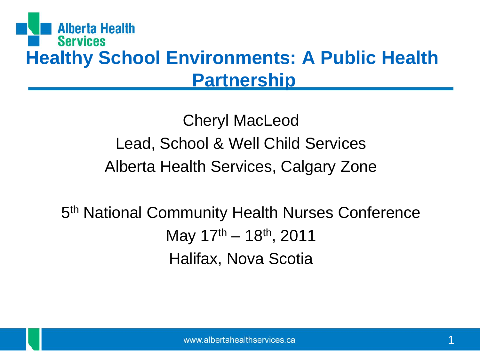#### **Alberta Health Services Healthy School Environments: A Public Health Partnership**

Cheryl MacLeod Lead, School & Well Child Services Alberta Health Services, Calgary Zone

5<sup>th</sup> National Community Health Nurses Conference May 17th – 18th, 2011 Halifax, Nova Scotia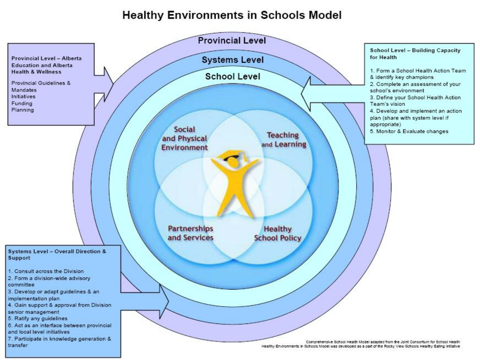#### **Healthy Environments in Schools Model**

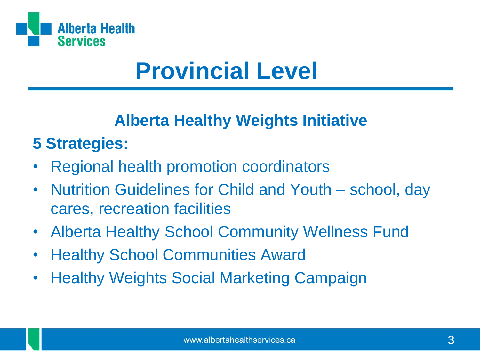

## **Provincial Level**

#### **Alberta Healthy Weights Initiative**

### **5 Strategies:**

- Regional health promotion coordinators
- Nutrition Guidelines for Child and Youth school, day cares, recreation facilities
- Alberta Healthy School Community Wellness Fund
- Healthy School Communities Award
- Healthy Weights Social Marketing Campaign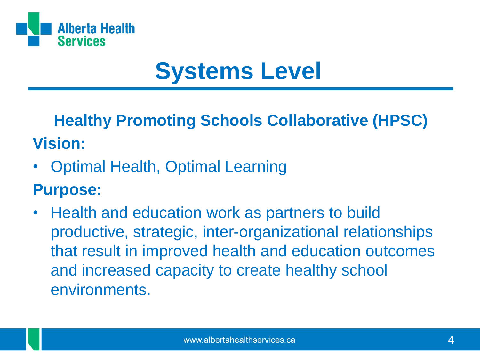

# **Systems Level**

**Healthy Promoting Schools Collaborative (HPSC) Vision:**

• Optimal Health, Optimal Learning

#### **Purpose:**

• Health and education work as partners to build productive, strategic, inter-organizational relationships that result in improved health and education outcomes and increased capacity to create healthy school environments.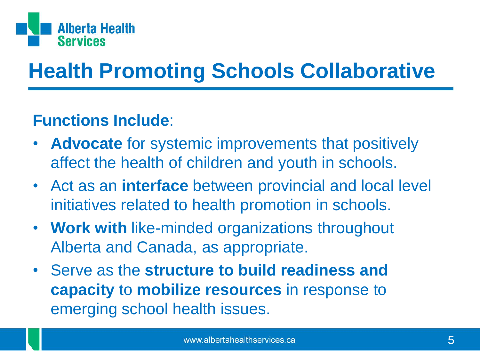

### **Health Promoting Schools Collaborative**

#### **Functions Include**:

- **Advocate** for systemic improvements that positively affect the health of children and youth in schools.
- Act as an **interface** between provincial and local level initiatives related to health promotion in schools.
- **Work with** like-minded organizations throughout Alberta and Canada, as appropriate.
- Serve as the **structure to build readiness and capacity** to **mobilize resources** in response to emerging school health issues.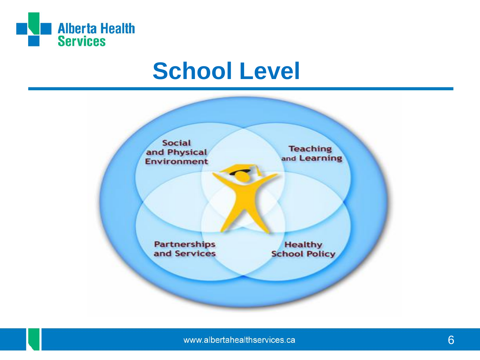

### **School Level**

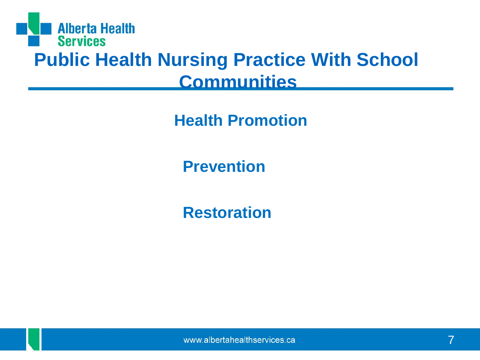

**Health Promotion** 

**Prevention**

**Restoration**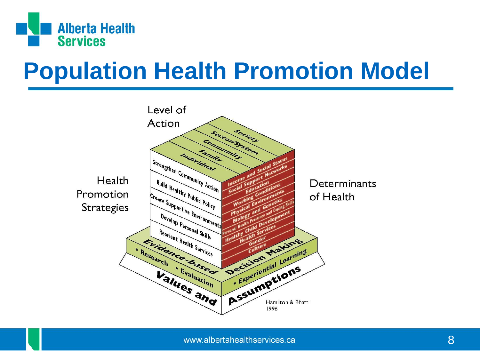

# **Population Health Promotion Model**

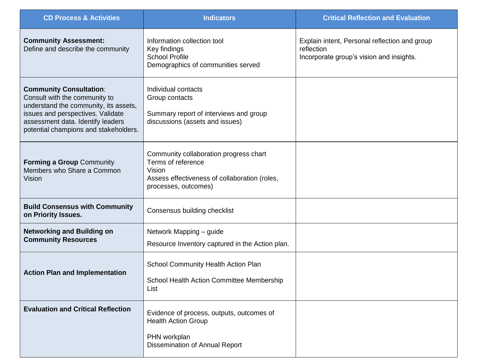| <b>CD Process &amp; Activities</b>                                                                                                                                                                                          | <b>Indicators</b>                                                                                                                               | <b>Critical Reflection and Evaluation</b>                                                               |
|-----------------------------------------------------------------------------------------------------------------------------------------------------------------------------------------------------------------------------|-------------------------------------------------------------------------------------------------------------------------------------------------|---------------------------------------------------------------------------------------------------------|
| <b>Community Assessment:</b><br>Define and describe the community                                                                                                                                                           | Information collection tool<br>Key findings<br><b>School Profile</b><br>Demographics of communities served                                      | Explain intent, Personal reflection and group<br>reflection<br>Incorporate group's vision and insights. |
| <b>Community Consultation:</b><br>Consult with the community to<br>understand the community, its assets,<br>issues and perspectives. Validate<br>assessment data. Identify leaders<br>potential champions and stakeholders. | Individual contacts<br>Group contacts<br>Summary report of interviews and group<br>discussions (assets and issues)                              |                                                                                                         |
| <b>Forming a Group Community</b><br>Members who Share a Common<br>Vision                                                                                                                                                    | Community collaboration progress chart<br>Terms of reference<br>Vision<br>Assess effectiveness of collaboration (roles,<br>processes, outcomes) |                                                                                                         |
| <b>Build Consensus with Community</b><br>on Priority Issues.                                                                                                                                                                | Consensus building checklist                                                                                                                    |                                                                                                         |
| <b>Networking and Building on</b><br><b>Community Resources</b>                                                                                                                                                             | Network Mapping - guide<br>Resource Inventory captured in the Action plan.                                                                      |                                                                                                         |
| <b>Action Plan and Implementation</b>                                                                                                                                                                                       | School Community Health Action Plan<br>School Health Action Committee Membership<br>List                                                        |                                                                                                         |
| <b>Evaluation and Critical Reflection</b>                                                                                                                                                                                   | Evidence of process, outputs, outcomes of<br><b>Health Action Group</b><br>PHN workplan<br>Dissemination of Annual Report                       |                                                                                                         |